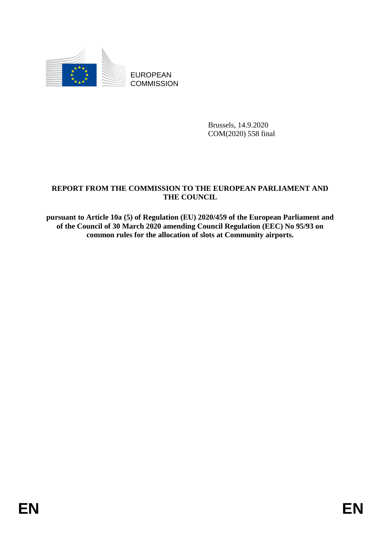

EUROPEAN **COMMISSION** 

> Brussels, 14.9.2020 COM(2020) 558 final

### **REPORT FROM THE COMMISSION TO THE EUROPEAN PARLIAMENT AND THE COUNCIL**

**pursuant to Article 10a (5) of Regulation (EU) 2020/459 of the European Parliament and of the Council of 30 March 2020 amending Council Regulation (EEC) No 95/93 on common rules for the allocation of slots at Community airports.**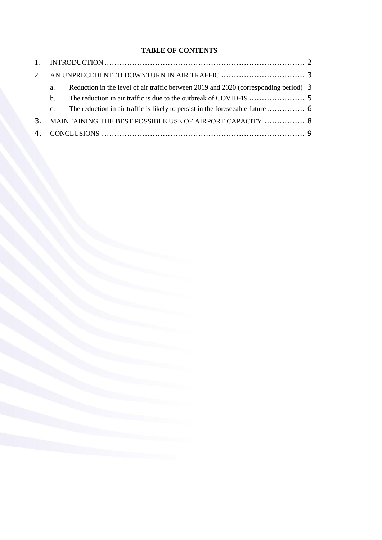### **TABLE OF CONTENTS**

| 2. |                                                          |                                                                                      |  |
|----|----------------------------------------------------------|--------------------------------------------------------------------------------------|--|
|    | a.                                                       | Reduction in the level of air traffic between 2019 and 2020 (corresponding period) 3 |  |
|    | $\mathbf{b}$ .                                           |                                                                                      |  |
|    | $c_{\cdot}$                                              |                                                                                      |  |
| 3. | MAINTAINING THE BEST POSSIBLE USE OF AIRPORT CAPACITY  8 |                                                                                      |  |
|    |                                                          |                                                                                      |  |
|    |                                                          |                                                                                      |  |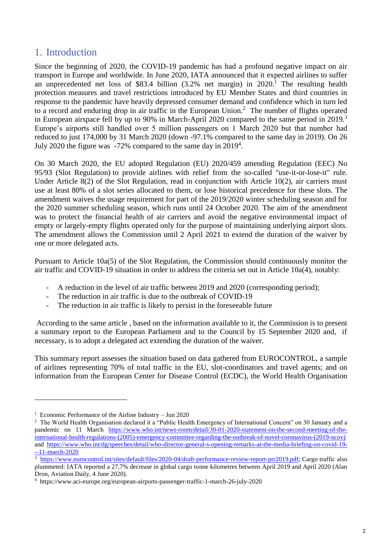## 1. Introduction

Since the beginning of 2020, the COVID-19 pandemic has had a profound negative impact on air transport in Europe and worldwide. In June 2020, IATA announced that it expected airlines to suffer an unprecedented net loss of \$83.4 billion  $(3.2\%$  net margin) in  $2020$ .<sup>1</sup> The resulting health protection measures and travel restrictions introduced by EU Member States and third countries in response to the pandemic have heavily depressed consumer demand and confidence which in turn led to a record and enduring drop in air traffic in the European Union. $<sup>2</sup>$  The number of flights operated</sup> in European airspace fell by up to 90% in March-April 2020 compared to the same period in 2019.<sup>3</sup> Europe's airports still handled over 5 million passengers on 1 March 2020 but that number had reduced to just 174,000 by 31 March 2020 (down -97.1% compared to the same day in 2019). On 26 July 2020 the figure was  $-72\%$  compared to the same day in 2019<sup>4</sup>.

On 30 March 2020, the EU adopted Regulation (EU) 2020/459 amending Regulation (EEC) No 95/93 (Slot Regulation) to provide airlines with relief from the so-called "use-it-or-lose-it" rule. Under Article 8(2) of the Slot Regulation, read in conjunction with Article 10(2), air carriers must use at least 80% of a slot series allocated to them, or lose historical precedence for these slots. The amendment waives the usage requirement for part of the 2019/2020 winter scheduling season and for the 2020 summer scheduling season, which runs until 24 October 2020. The aim of the amendment was to protect the financial health of air carriers and avoid the negative environmental impact of empty or largely-empty flights operated only for the purpose of maintaining underlying airport slots. The amendment allows the Commission until 2 April 2021 to extend the duration of the waiver by one or more delegated acts.

Pursuant to Article 10a(5) of the Slot Regulation, the Commission should continuously monitor the air traffic and COVID-19 situation in order to address the criteria set out in Article 10a(4), notably:

- A reduction in the level of air traffic between 2019 and 2020 (corresponding period);
- The reduction in air traffic is due to the outbreak of COVID-19
- The reduction in air traffic is likely to persist in the foreseeable future

According to the same article , based on the information available to it, the Commission is to present a summary report to the European Parliament and to the Council by 15 September 2020 and, if necessary, is to adopt a delegated act extending the duration of the waiver.

This summary report assesses the situation based on data gathered from EUROCONTROL, a sample of airlines representing 70% of total traffic in the EU, slot-coordinators and travel agents; and on information from the European Center for Disease Control (ECDC), the World Health Organisation

<u>.</u>

<sup>1</sup> Economic Performance of the Airline Industry – Jun 2020

<sup>&</sup>lt;sup>2</sup> The World Health Organisation declared it a "Public Health Emergency of International Concern" on 30 January and a pandemic on 11 March [https://www.who.int/news-room/detail/30-01-2020-statement-on-the-second-meeting-of-the](https://www.who.int/news-room/detail/30-01-2020-statement-on-the-second-meeting-of-the-international-health-regulations-(2005)-emergency-committee-regarding-the-outbreak-of-novel-coronavirus-(2019-ncov))[international-health-regulations-\(2005\)-emergency-committee-regarding-the-outbreak-of-novel-coronavirus-\(2019-ncov\)](https://www.who.int/news-room/detail/30-01-2020-statement-on-the-second-meeting-of-the-international-health-regulations-(2005)-emergency-committee-regarding-the-outbreak-of-novel-coronavirus-(2019-ncov)) and [https://www.who.int/dg/speeches/detail/who-director-general-s-opening-remarks-at-the-media-briefing-on-covid-19-](https://www.who.int/dg/speeches/detail/who-director-general-s-opening-remarks-at-the-media-briefing-on-covid-19---11-march-2020) [--11-march-2020](https://www.who.int/dg/speeches/detail/who-director-general-s-opening-remarks-at-the-media-briefing-on-covid-19---11-march-2020)

<sup>&</sup>lt;sup>3</sup> [https://www.eurocontrol.int/sites/default/files/2020-04/draft-performance-review-report-prr2019.pdf;](https://www.eurocontrol.int/sites/default/files/2020-04/draft-performance-review-report-prr2019.pdf) Cargo traffic also plummeted: IATA reported a 27,7% decrease in global cargo tonne kilometres between April 2019 and April 2020 (Alan Dron, Aviation Daily, 4 June 2020).

<sup>4</sup> https://www.aci-europe.org/european-airports-passenger-traffic-1-march-26-july-2020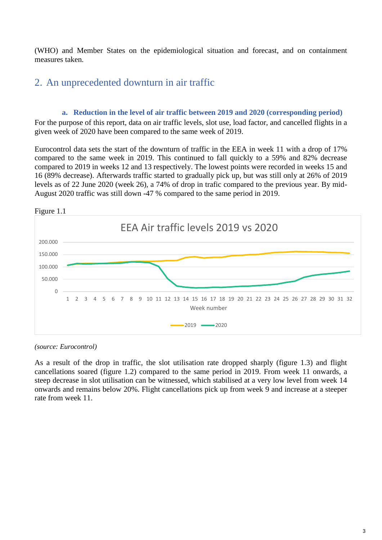(WHO) and Member States on the epidemiological situation and forecast, and on containment measures taken.

# 2. An unprecedented downturn in air traffic

#### **a. Reduction in the level of air traffic between 2019 and 2020 (corresponding period)**

For the purpose of this report, data on air traffic levels, slot use, load factor, and cancelled flights in a given week of 2020 have been compared to the same week of 2019.

Eurocontrol data sets the start of the downturn of traffic in the EEA in week 11 with a drop of 17% compared to the same week in 2019. This continued to fall quickly to a 59% and 82% decrease compared to 2019 in weeks 12 and 13 respectively. The lowest points were recorded in weeks 15 and 16 (89% decrease). Afterwards traffic started to gradually pick up, but was still only at 26% of 2019 levels as of 22 June 2020 (week 26), a 74% of drop in trafic compared to the previous year. By mid-August 2020 traffic was still down -47 % compared to the same period in 2019.



*(source: Eurocontrol)*

As a result of the drop in traffic, the slot utilisation rate dropped sharply (figure 1.3) and flight cancellations soared (figure 1.2) compared to the same period in 2019. From week 11 onwards, a steep decrease in slot utilisation can be witnessed, which stabilised at a very low level from week 14 onwards and remains below 20%. Flight cancellations pick up from week 9 and increase at a steeper rate from week 11.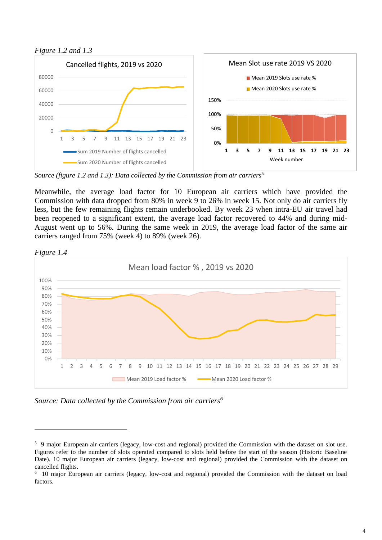



*Source (figure 1.2 and 1.3): Data collected by the Commission from air carriers*<sup>5</sup>

Meanwhile, the average load factor for 10 European air carriers which have provided the Commission with data dropped from 80% in week 9 to 26% in week 15. Not only do air carriers fly less, but the few remaining flights remain underbooked. By week 23 when intra-EU air travel had been reopened to a significant extent, the average load factor recovered to 44% and during mid-August went up to 56%. During the same week in 2019, the average load factor of the same air carriers ranged from 75% (week 4) to 89% (week 26).



*Figure 1.4*

1

*Source: Data collected by the Commission from air carriers<sup>6</sup>*

<sup>&</sup>lt;sup>5</sup> 9 major European air carriers (legacy, low-cost and regional) provided the Commission with the dataset on slot use. Figures refer to the number of slots operated compared to slots held before the start of the season (Historic Baseline Date). 10 major European air carriers (legacy, low-cost and regional) provided the Commission with the dataset on cancelled flights.

<sup>6</sup> 10 major European air carriers (legacy, low-cost and regional) provided the Commission with the dataset on load factors.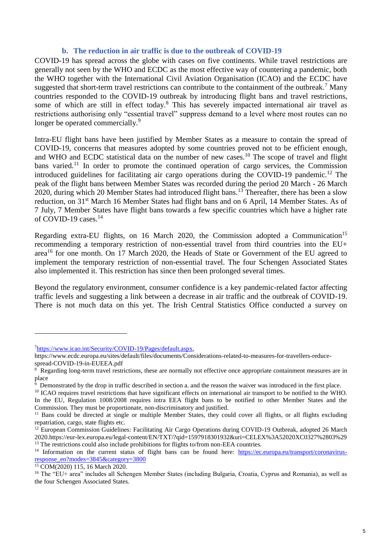#### **b. The reduction in air traffic is due to the outbreak of COVID-19**

COVID-19 has spread across the globe with cases on five continents. While travel restrictions are generally not seen by the WHO and ECDC as the most effective way of countering a pandemic, both the WHO together with the International Civil Aviation Organisation (ICAO) and the ECDC have suggested that short-term travel restrictions can contribute to the containment of the outbreak.<sup>7</sup> Many countries responded to the COVID-19 outbreak by introducing flight bans and travel restrictions, some of which are still in effect today.<sup>8</sup> This has severely impacted international air travel as restrictions authorising only "essential travel" suppress demand to a level where most routes can no longer be operated commercially.<sup>9</sup>

Intra-EU flight bans have been justified by Member States as a measure to contain the spread of COVID-19, concerns that measures adopted by some countries proved not to be efficient enough, and WHO and ECDC statistical data on the number of new cases.<sup>10</sup> The scope of travel and flight bans varied.<sup>11</sup> In order to promote the continued operation of cargo services, the Commission introduced guidelines for facilitating air cargo operations during the COVID-19 pandemic.<sup>12</sup> The peak of the flight bans between Member States was recorded during the period 20 March - 26 March 2020, during which 20 Member States had introduced flight bans.<sup>13</sup> Thereafter, there has been a slow reduction, on 31<sup>st</sup> March 16 Member States had flight bans and on 6 April, 14 Member States. As of 7 July, 7 Member States have flight bans towards a few specific countries which have a higher rate of COVID-19 cases.<sup>14</sup>

Regarding extra-EU flights, on 16 March 2020, the Commission adopted a Communication<sup>15</sup> recommending a temporary restriction of non-essential travel from third countries into the EU+ area<sup>16</sup> for one month. On 17 March 2020, the Heads of State or Government of the EU agreed to implement the temporary restriction of non-essential travel. The four Schengen Associated States also implemented it. This restriction has since then been prolonged several times.

Beyond the regulatory environment, consumer confidence is a key pandemic-related factor affecting traffic levels and suggesting a link between a decrease in air traffic and the outbreak of COVID-19. There is not much data on this yet. The Irish Central Statistics Office conducted a survey on

<u>.</u>

<sup>7</sup>[https://www.icao.int/Security/COVID-19/Pages/default.aspx,](https://www.icao.int/Security/COVID-19/Pages/default.aspx) 

https://www.ecdc.europa.eu/sites/default/files/documents/Considerations-related-to-measures-for-travellers-reducespread-COVID-19-in-EUEEA.pdf

<sup>&</sup>lt;sup>8</sup> Regarding long-term travel restrictions, these are normally not effective once appropriate containment measures are in

place<br><sup>9</sup> Demonstrated by the drop in traffic described in section a. and the reason the waiver was introduced in the first place.

 $10$  ICAO requires travel restrictions that have significant effects on international air transport to be notified to the WHO. In the EU, Regulation 1008/2008 requires intra EEA flight bans to be notified to other Member States and the Commission. They must be proportionate, non-discriminatory and justified.

<sup>&</sup>lt;sup>11</sup> Bans could be directed at single or multiple Member States, they could cover all flights, or all flights excluding repatriation, cargo, state flights etc.

<sup>&</sup>lt;sup>12</sup> European Commission Guidelines: Facilitating Air Cargo Operations during COVID-19 Outbreak, adopted 26 March 2020.https://eur-lex.europa.eu/legal-content/EN/TXT/?qid=1597918301932&uri=CELEX%3A52020XC0327%2803%29 <sup>13</sup> The restrictions could also include prohibitions for flights to/from non-EEA countries.

<sup>&</sup>lt;sup>14</sup> Information on the current status of flight bans can be found here: [https://ec.europa.eu/transport/coronavirus](https://ec.europa.eu/transport/coronavirus-response_en?modes=3845&category=3800)[response\\_en?modes=3845&category=3800](https://ec.europa.eu/transport/coronavirus-response_en?modes=3845&category=3800)

<sup>15</sup> COM(2020) 115, 16 March 2020.

<sup>16</sup> The "EU+ area" includes all Schengen Member States (including Bulgaria, Croatia, Cyprus and Romania), as well as the four Schengen Associated States.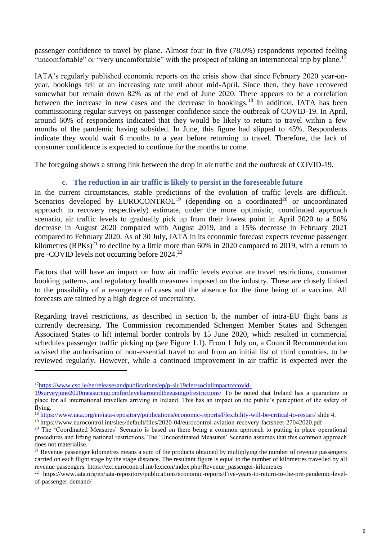passenger confidence to travel by plane. Almost four in five (78.0%) respondents reported feeling "uncomfortable" or "very uncomfortable" with the prospect of taking an international trip by plane.<sup>17</sup>

IATA's regularly published economic reports on the crisis show that since February 2020 year-onyear, bookings fell at an increasing rate until about mid-April. Since then, they have recovered somewhat but remain down 82% as of the end of June 2020. There appears to be a correlation between the increase in new cases and the decrease in bookings.<sup>18</sup> In addition, IATA has been commissioning regular surveys on passenger confidence since the outbreak of COVID-19. In April, around 60% of respondents indicated that they would be likely to return to travel within a few months of the pandemic having subsided. In June, this figure had slipped to 45%. Respondents indicate they would wait 6 months to a year before returning to travel. Therefore, the lack of consumer confidence is expected to continue for the months to come.

The foregoing shows a strong link between the drop in air traffic and the outbreak of COVID-19.

#### **c. The reduction in air traffic is likely to persist in the foreseeable future**

In the current circumstances, stable predictions of the evolution of traffic levels are difficult. Scenarios developed by  $EUROCONTROL^{19}$  (depending on a coordinated<sup>20</sup> or uncoordinated approach to recovery respectively) estimate, under the more optimistic, coordinated approach scenario, air traffic levels to gradually pick up from their lowest point in April 2020 to a 50% decrease in August 2020 compared with August 2019, and a 15% decrease in February 2021 compared to February 2020. As of 30 July, IATA in its economic forecast expects revenue passenger kilometres  $(RPKs)^{21}$  to decline by a little more than 60% in 2020 compared to 2019, with a return to pre -COVID levels not occurring before 2024.<sup>22</sup>

Factors that will have an impact on how air traffic levels evolve are travel restrictions, consumer booking patterns, and regulatory health measures imposed on the industry. These are closely linked to the possibility of a resurgence of cases and the absence for the time being of a vaccine. All forecasts are tainted by a high degree of uncertainty.

Regarding travel restrictions, as described in section b, the number of intra-EU flight bans is currently decreasing. The Commission recommended Schengen Member States and Schengen Associated States to lift internal border controls by 15 June 2020, which resulted in commercial schedules passenger traffic picking up (see Figure 1.1). From 1 July on, a Council Recommendation advised the authorisation of non-essential travel to and from an initial list of third countries, to be reviewed regularly. However, while a continued improvement in air traffic is expected over the

1

<sup>17</sup>[https://www.cso.ie/en/releasesandpublications/ep/p-sic19cler/socialimpactofcovid-](https://www.cso.ie/en/releasesandpublications/ep/p-sic19cler/socialimpactofcovid-19surveyjune2020measuringcomfortlevelsaroundtheeasingofrestrictions/)

[<sup>19</sup>surveyjune2020measuringcomfortlevelsaroundtheeasingofrestrictions/](https://www.cso.ie/en/releasesandpublications/ep/p-sic19cler/socialimpactofcovid-19surveyjune2020measuringcomfortlevelsaroundtheeasingofrestrictions/) To be noted that Ireland has a quarantine in place for all international travellers arriving in Ireland. This has an impact on the public's perception of the safety of flying.

<sup>&</sup>lt;sup>18</sup> <https://www.iata.org/en/iata-repository/publications/economic-reports/Flexibility-will-be-critical-to-restart/> slide 4.

<sup>&</sup>lt;sup>19</sup> https://www.eurocontrol.int/sites/default/files/2020-04/eurocontrol-aviation-recovery-factsheet-27042020.pdf

<sup>&</sup>lt;sup>20</sup> The 'Coordinated Measures' Scenario is based on there being a common approach to putting in place operational procedures and lifting national restrictions. The 'Uncoordinated Measures' Scenario assumes that this common approach does not materialise.

<sup>&</sup>lt;sup>21</sup> Revenue passenger kilometres means a sum of the products obtained by multiplying the number of revenue passengers carried on each flight stage by the stage distance. The resultant figure is equal to the number of kilometres travelled by all revenue passengers. https://ext.eurocontrol.int/lexicon/index.php/Revenue\_passenger-kilometres

<sup>22</sup> https://www.iata.org/en/iata-repository/publications/economic-reports/Five-years-to-return-to-the-pre-pandemic-levelof-passenger-demand/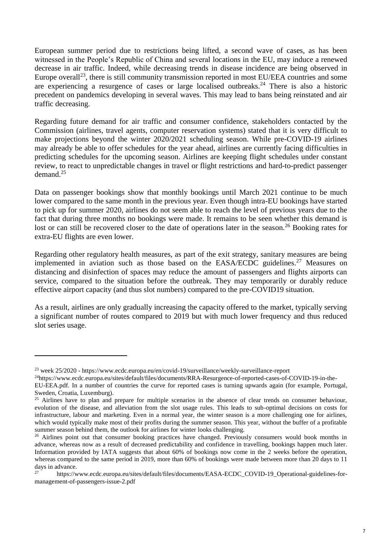European summer period due to restrictions being lifted, a second wave of cases, as has been witnessed in the People's Republic of China and several locations in the EU, may induce a renewed decrease in air traffic. Indeed, while decreasing trends in disease incidence are being observed in Europe overall<sup>23</sup>, there is still community transmission reported in most EU/EEA countries and some are experiencing a resurgence of cases or large localised outbreaks.<sup>24</sup> There is also a historic precedent on pandemics developing in several waves. This may lead to bans being reinstated and air traffic decreasing.

Regarding future demand for air traffic and consumer confidence, stakeholders contacted by the Commission (airlines, travel agents, computer reservation systems) stated that it is very difficult to make projections beyond the winter 2020/2021 scheduling season. While pre-COVID-19 airlines may already be able to offer schedules for the year ahead, airlines are currently facing difficulties in predicting schedules for the upcoming season. Airlines are keeping flight schedules under constant review, to react to unpredictable changes in travel or flight restrictions and hard-to-predict passenger demand.<sup>25</sup>

Data on passenger bookings show that monthly bookings until March 2021 continue to be much lower compared to the same month in the previous year. Even though intra-EU bookings have started to pick up for summer 2020, airlines do not seem able to reach the level of previous years due to the fact that during three months no bookings were made. It remains to be seen whether this demand is lost or can still be recovered closer to the date of operations later in the season.<sup>26</sup> Booking rates for extra-EU flights are even lower.

Regarding other regulatory health measures, as part of the exit strategy, sanitary measures are being implemented in aviation such as those based on the  $EASA/ECDC$  guidelines.<sup>27</sup> Measures on distancing and disinfection of spaces may reduce the amount of passengers and flights airports can service, compared to the situation before the outbreak. They may temporarily or durably reduce effective airport capacity (and thus slot numbers) compared to the pre-COVID19 situation.

As a result, airlines are only gradually increasing the capacity offered to the market, typically serving a significant number of routes compared to 2019 but with much lower frequency and thus reduced slot series usage.

<u>.</u>

<sup>23</sup> week 25/2020 - https://www.ecdc.europa.eu/en/covid-19/surveillance/weekly-surveillance-report

<sup>24</sup>https://www.ecdc.europa.eu/sites/default/files/documents/RRA-Resurgence-of-reported-cases-of-COVID-19-in-the-

EU-EEA.pdf. In a number of countries the curve for reported cases is turning upwards again (for example, Portugal, Sweden, Croatia, Luxemburg).

<sup>&</sup>lt;sup>25</sup> Airlines have to plan and prepare for multiple scenarios in the absence of clear trends on consumer behaviour, evolution of the disease, and alleviation from the slot usage rules. This leads to sub-optimal decisions on costs for infrastructure, labour and marketing. Even in a normal year, the winter season is a more challenging one for airlines, which would typically make most of their profits during the summer season. This year, without the buffer of a profitable summer season behind them, the outlook for airlines for winter looks challenging.

<sup>&</sup>lt;sup>26</sup> Airlines point out that consumer booking practices have changed. Previously consumers would book months in advance, whereas now as a result of decreased predictability and confidence in travelling, bookings happen much later. Information provided by IATA suggests that about 60% of bookings now come in the 2 weeks before the operation, whereas compared to the same period in 2019, more than 60% of bookings were made between more than 20 days to 11 days in advance.

<sup>27</sup> https://www.ecdc.europa.eu/sites/default/files/documents/EASA-ECDC\_COVID-19\_Operational-guidelines-formanagement-of-passengers-issue-2.pdf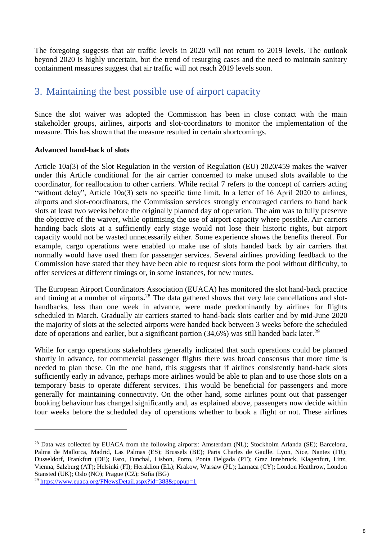The foregoing suggests that air traffic levels in 2020 will not return to 2019 levels. The outlook beyond 2020 is highly uncertain, but the trend of resurging cases and the need to maintain sanitary containment measures suggest that air traffic will not reach 2019 levels soon.

# 3. Maintaining the best possible use of airport capacity

Since the slot waiver was adopted the Commission has been in close contact with the main stakeholder groups, airlines, airports and slot-coordinators to monitor the implementation of the measure. This has shown that the measure resulted in certain shortcomings.

#### **Advanced hand-back of slots**

Article 10a(3) of the Slot Regulation in the version of Regulation (EU) 2020/459 makes the waiver under this Article conditional for the air carrier concerned to make unused slots available to the coordinator, for reallocation to other carriers. While recital 7 refers to the concept of carriers acting "without delay", Article 10a(3) sets no specific time limit. In a letter of 16 April 2020 to airlines, airports and slot-coordinators, the Commission services strongly encouraged carriers to hand back slots at least two weeks before the originally planned day of operation. The aim was to fully preserve the objective of the waiver, while optimising the use of airport capacity where possible. Air carriers handing back slots at a sufficiently early stage would not lose their historic rights, but airport capacity would not be wasted unnecessarily either. Some experience shows the benefits thereof. For example, cargo operations were enabled to make use of slots handed back by air carriers that normally would have used them for passenger services. Several airlines providing feedback to the Commission have stated that they have been able to request slots form the pool without difficulty, to offer services at different timings or, in some instances, for new routes.

The European Airport Coordinators Association (EUACA) has monitored the slot hand-back practice and timing at a number of airports**.** <sup>28</sup> The data gathered shows that very late cancellations and slothandbacks, less than one week in advance, were made predominantly by airlines for flights scheduled in March. Gradually air carriers started to hand-back slots earlier and by mid-June 2020 the majority of slots at the selected airports were handed back between 3 weeks before the scheduled date of operations and earlier, but a significant portion  $(34,6%)$  was still handed back later.<sup>29</sup>

While for cargo operations stakeholders generally indicated that such operations could be planned shortly in advance, for commercial passenger flights there was broad consensus that more time is needed to plan these. On the one hand, this suggests that if airlines consistently hand-back slots sufficiently early in advance, perhaps more airlines would be able to plan and to use those slots on a temporary basis to operate different services. This would be beneficial for passengers and more generally for maintaining connectivity. On the other hand, some airlines point out that passenger booking behaviour has changed significantly and, as explained above, passengers now decide within four weeks before the scheduled day of operations whether to book a flight or not. These airlines

1

<sup>&</sup>lt;sup>28</sup> Data was collected by EUACA from the following airports: Amsterdam (NL); Stockholm Arlanda (SE); Barcelona, Palma de Mallorca, Madrid, Las Palmas (ES); Brussels (BE); Paris Charles de Gaulle. Lyon, Nice, Nantes (FR); Dusseldorf, Frankfurt (DE); Faro, Funchal, Lisbon, Porto, Ponta Delgada (PT); Graz Innsbruck, Klagenfurt, Linz, Vienna, Salzburg (AT); Helsinki (FI); Heraklion (EL); Krakow, Warsaw (PL); Larnaca (CY); London Heathrow, London Stansted (UK); Oslo (NO); Prague (CZ); Sofia (BG)

<sup>29</sup> <https://www.euaca.org/FNewsDetail.aspx?id=388&popup=1>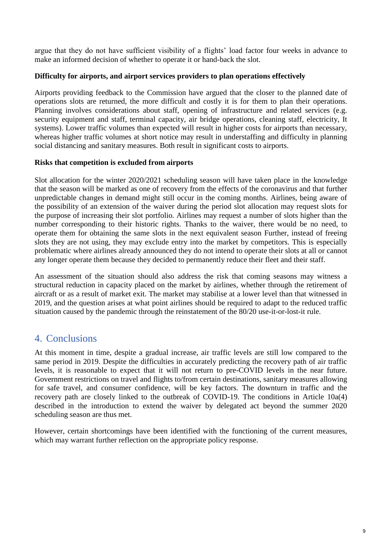argue that they do not have sufficient visibility of a flights' load factor four weeks in advance to make an informed decision of whether to operate it or hand-back the slot.

#### **Difficulty for airports, and airport services providers to plan operations effectively**

Airports providing feedback to the Commission have argued that the closer to the planned date of operations slots are returned, the more difficult and costly it is for them to plan their operations. Planning involves considerations about staff, opening of infrastructure and related services (e.g. security equipment and staff, terminal capacity, air bridge operations, cleaning staff, electricity, It systems). Lower traffic volumes than expected will result in higher costs for airports than necessary, whereas higher traffic volumes at short notice may result in understaffing and difficulty in planning social distancing and sanitary measures. Both result in significant costs to airports.

#### **Risks that competition is excluded from airports**

Slot allocation for the winter 2020/2021 scheduling season will have taken place in the knowledge that the season will be marked as one of recovery from the effects of the coronavirus and that further unpredictable changes in demand might still occur in the coming months. Airlines, being aware of the possibility of an extension of the waiver during the period slot allocation may request slots for the purpose of increasing their slot portfolio. Airlines may request a number of slots higher than the number corresponding to their historic rights. Thanks to the waiver, there would be no need, to operate them for obtaining the same slots in the next equivalent season Further, instead of freeing slots they are not using, they may exclude entry into the market by competitors. This is especially problematic where airlines already announced they do not intend to operate their slots at all or cannot any longer operate them because they decided to permanently reduce their fleet and their staff.

An assessment of the situation should also address the risk that coming seasons may witness a structural reduction in capacity placed on the market by airlines, whether through the retirement of aircraft or as a result of market exit. The market may stabilise at a lower level than that witnessed in 2019, and the question arises at what point airlines should be required to adapt to the reduced traffic situation caused by the pandemic through the reinstatement of the 80/20 use-it-or-lost-it rule.

## 4. Conclusions

At this moment in time, despite a gradual increase, air traffic levels are still low compared to the same period in 2019. Despite the difficulties in accurately predicting the recovery path of air traffic levels, it is reasonable to expect that it will not return to pre-COVID levels in the near future. Government restrictions on travel and flights to/from certain destinations, sanitary measures allowing for safe travel, and consumer confidence, will be key factors. The downturn in traffic and the recovery path are closely linked to the outbreak of COVID-19. The conditions in Article 10a(4) described in the introduction to extend the waiver by delegated act beyond the summer 2020 scheduling season are thus met.

However, certain shortcomings have been identified with the functioning of the current measures, which may warrant further reflection on the appropriate policy response.